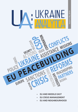



- **• EU AND MIDDLE EAST**
- **• EU CRISIS MANAGEMENT**
- **• EU AND NEIGHBOURHOOD**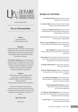# <u>KAINE</u>

Issue 4 (18), 2019

### **EU as a Peacebuilder**

**Editors**

Dr. Hanna Shelest Dr. Mykola Kapitonenko

### **Publisher:**

Published by NGO "Promotion of Intercultural Cooperation" (Ukraine), Centre of International Studies (Ukraine), with the financial support of the Representation of the Friedrich Ebert Foundation in Ukraine.

**UA: Ukraine Analytica** is the first Ukrainian analytical journal in English on International Relations, Politics and Economics. The journal is aimed for experts, diplomats, academics, students interested in the international relations and Ukraine in particular.

### **Contacts:**

website: http://ukraine-analytica.org/ e-mail: Ukraine\_analytica@ukr.net Facebook: https://www.facebook.com/ ukraineanalytica Twitter: https://twitter.com/UA\_Analytica

The views and opinions expressed in articles are those of the authors and do not necessarily reflect the position of UA: Ukraine Analytica, its editors, Board of Advisors or donors.

### **ISSN 2518-7481**

500 copies

### **BOARD OF ADVISERS**

*Dr. Dimitar Bechev* (Bulgaria, Director of the European Policy Institute)

*Dr. Iulian Chifu* (Romania, Director of the Conflict Analysis and Early Warning Center)

*Amb., Dr. Sergiy Korsunsky* (Ukraine, Director of the Diplomatic Academy under the Ministry of Foreign Affairs of Ukraine)

*Dr. Igor Koval* (Ukraine, Rector of Odessa National University by I.I. Mechnikov)

*Amb., Dr. Sergey Minasyan* (Armenia, Ambassador Extraordinary and Plenipotentiary of Armenia to Romania)

*Marcel Röthig* (Germany, Director of the Representation of the Friedrich Ebert Foundation in Ukraine)

*James Nixey* (United Kingdom, Head of the Russia and Eurasia Programme at Chatham House, the Royal Institute of International Affairs)

*Dr. Róbert Ondrejcsák* (Slovakia, State Secretary, Ministry of Defence)

*Amb., Dr. Oleg Shamshur* (Ukraine, Ambassador Extraordinary and Plenipotentiary of Ukraine to France)

*Dr. Stephan De Spiegeleire* (The Netherlands, Director Defence Transformation at The Hague Center for Strategic Studies)

> *Ivanna Klympush-Tsintsadze* (Ukraine, Head of the Parliamentary Committee on European Integration)

*Dr. Dimitris Triantaphyllou* (Greece, Director of the Center for International and European Studies, Kadir Has University (Turkey))

*Dr. Asle Toje* (Norway, Research Director at the Norwegian Nobel Institute)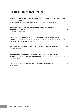# **TABLE OF CONTENTS**

| DIPLOMACY HAS TO BE REINFORCED BY ABILITY TO PROVIDE ALL NECESSARY<br>Interview with Petras Auštrevičius, Member of the European Parliament |
|---------------------------------------------------------------------------------------------------------------------------------------------|
| EU PEACE INITIATIVES IN THE PALESTINIAN-ISRAELI CONFLICT:<br>Anastasiia Gerasymchuk                                                         |
| THE EU AND THE IRANIAN NUCLEAR PROGRAMME: IS VENUS WEAKER<br>Polina Sinovets and Valeriia Gergiieva                                         |
| EU PERSPECTIVES FOR MEDIATION AND PEACEKEEPING IN UKRAINE 21<br>Christine Karelska                                                          |
| <b>BUILDING PEACE THROUGH POLICING? THE EU AND POLICE REFORM</b><br>Stiven Tremaria                                                         |
| AZERBAIJAN'S PROSPECT FOR THE EU'S CSDP PEACE MISSIONS  41<br>Rahim Rahimov                                                                 |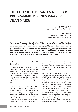## **THE EU AND THE IRANIAN NUCLEAR PROGRAMME: IS VENUS WEAKER THAN MARS?**

#### *Dr. Polina Sinovets*

*Odessa Centre for Nonproliferation Odessa I.I. Mechnikov National University*

### *Valeriia Gergiieva*

*Odessa Centre for Nonproliferation Odessa I.I. Mechnikov National University*

*The article is focused on the role of the EU in resolving crisis around the Iranian nuclear programme. It covers the period starting from 2003, when the Iranian nuclear programme was revealed, and is divided into five stages of the involvement of European states in the Iranian crisis resolution. The fifth stage is still in process and demonstrates the EU attempts to save the Joint Comprehensive Plan of Action after the US withdrawal. One of the current mechanisms mentioned in this article is INSTEX, aimed at trading with Iran bypassing the US sanctions.* 

### **Historical Steps in the Iran-EU Cooperation**

European countries established relations with the Islamic Republic only ten years after the 1979 Iranian Revolution, when Ayatollah Khomeini, the leader of the revolution, died and his successor, Ali Khamenei, started to build up better ties with the world. This led to the establishment of bilateral relations between most of the European capitals and Tehran.

Step by step, Europe became closely involved in cooperation with Iran, having strong interest in the Iranian gas and oil and suggesting a wide variety of goods to the Iranian markets. In the 1990s, the biggest push to the development of the relations between the EU and Iran was given by the policy of Iranian President Khatami, who declared a "dialogue of civilizations" as

one of the state's policy pillars. Therefore, Khatami's years were some of the most fruitful for building up the economic and cultural cooperation between Iran and the European states.

It also has not become a surprise that the role of the EU in crisis resolution around the socalled "Iranian nuclear dossier" has become one of the most relevant. In particular, this century is marked with the significant contrast between the US "hard-line" policy and the European flexible diplomatic approach. In this regard, the Iranian nuclear programme can be considered one of the best illustrations of this tendency. One of the main drivers of the European strategy towards Iran, before and after the nuclear crisis, was the desire to provide an alternative to the US approach, which was focused on isolating and containing the Iranian regime after the revolution. As the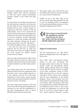EU bases its diplomacy towards Tehran on dialogue rather than coercion nowadays as well, this causes serious transatlantic tensions, similar to the 1990s and early 2000s.1

To some extent, it is possible to say that even the deterioration caused by the discovery (by the IAEA) of Iran's undeclared nuclear facilities did not have a direct impact on cooperation with Iran. Contrary to the US policymakers, who at once connected the Iranian nuclear programme with aggressive intentions of the state, the Europeans tried to use the maximum of their diplomatic influence to settle the problem peacefully and with minimum damage for all sides. In particular, there were the "Big Three" – the United Kingdom, France, and Germany – who took an active part in mediation between the US and Iran. To make the discussion more clear, we suggest dividing the crisis around the Iranian nuclear dossier into five stages.

The first stage lasted between 2003, when the Iranian nuclear activity was discovered, and 2005, when the Security Council started to adopt resolutions as to the Iranian nuclear case.

The second stage covers the time between 2005 and 2010, when the negotiations with Iran had a more or less stable character as to the relations with the P5+1 (the main negotiators on the Iranian nuclear dossier consist of the permanent members of the UN Security Council + Germany).

The third stage lasted between 2010 and 2015, when the EU imposed comprehensive sanctions on Iran and the negotiations on the Joint Comprehensive Plan of Action (JCPOA) ended with the nuclear deal.

The fourth stage covers 2015-2018, when the JCPOA came into force and then declined as a result of the US withdrawal.

Finally, we are in the fifth stage of the process, which shows the attempt of the EU to save the declining JCPOA, accompanied by the growing diplomatic pressure of Iran gradually stepping out the JCPOA.

this century is marked with *the significant contrast between the US "hardline" policy and the European flexible diplomatic approach.* 

### **Stages of Cooperation**

The EU, represented by its "Big Three", played an indispensable role at all stages of the process.

Since 2003, when non-declared nuclear activity in Iran was discovered, the European states tried to keep the "Iranian dossier" under the International Atomic Energy Agency (IAEA) control, not letting it go to the UN Security Council. A number of the IAEA resolutions, issued in 2003- 2004, pressured Iran to stop the uranium enrichment. These actions were combined with the joint negotiations of the United Kingdom, France, and Germany with Iran and resulted in reaching the Paris Agreement in November 2004. According to this deal, Iran suspended the uranium enrichment for an indefinite period of time. It was a time to keep the negotiations on with the Big Three to reach the "grand bargain" when Iran would abandon domestic uranium

<sup>1</sup> S. Shine, A. Catran, *Europe-Iran Relations One Year after the Sanctions Were Lifted,* Institute for National Security Studies, 16 January 2017 [https://www.jstor.org/stable/resrep08353 access: 10 December 2019].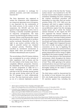enrichment procedure in exchange for political, economic, and trade concessions from the  $FII^2$ 

The Paris Agreement was supposed to sustain the suspension while negotiations on a long-term agreement were in progress; it was important for the continuation of the whole process. In the context of this suspension, the EU3/EU and Iran have agreed to begin negotiations, with a view to reaching a mutually acceptable agreement on long-term arrangements. The main concern was that having the ability to enrich uranium, Tehran could theoretically expand this procedure to be finally able to produce nuclear warheads. Meanwhile for Iran, the right to any nuclear activities within the right to peaceful nuclear use remained a national priority. Therefore, Tehran cancelled its enrichment moratorium in August 2005 when pro-national far-right President Ahmadinejad came to power.<sup>3</sup>

The second phase of the EU-Iranian relations was accompanied by an active inclusion of other negotiators such as Russia and the US, who looked at the Iranian issue from a completely different perspective. However, the inflexibility of the Iranian position over its nuclear programme in 2006 led to a certain convergence of the EU's position with that of the US, therefore having started the only period during which the EU and the US managed to work collaboratively on Iran. The joint dual-track policy started an era of a coherent diplomatic pressure on Iran. In spite of the fact that the "Iranian nuclear dossier" was transferred to the UN Security Council, which adopted a number of resolutions forbidding Iran from continuing the uranium enrichment procedure and demanding it to stop other dual use nuclear activities (1696, 1737, 1747, 1803, etc.), the Europeans still tried to support initiatives that could combine both aims: to save the non-proliferation regime from the emerging nuclear power and to satisfy the Iranian national demands. In this regard, the EU3 first supported the Russian initiative on transferring the enrichment procedure to the Russian territory,<sup>4</sup> and when it failed, initiated the enriched uranium exchange deal between Iran, Brazil, and Turkey, which also ultimately failed.5 We suggest that it happened because Iran never actually was going to make any concessions on its way to legalising the uranium enrichment on its national territory. The idea of strengthening its sovereignty and getting independent nuclear energy is tightly embedded in the Iranian strategic culture, as well as the deep distrust of the international environment, which throughout the history mostly worked against the national interests of Iran.<sup>6</sup> Thus, while agreeing to the options mentioned above, Iran just tried to gain some time for its uranium enrichment programme, thoroughly looking for the chance to avoid the suggested initiatives.

The third phase could be characterised by the decline of trust between Iran and the EU3, who finally joined the comprehensive US sanctions against Iran, including the

<sup>2</sup> *Tehran Agrees to Nuclear Freeze,* "Guardian", 8 November 2004 [https://www.theguardian.com/world/2004/nov/08/politics.eu access: 21 December 2019].

<sup>3</sup> B. Kaussler, *From Engagement to Containment: EU–Iran Relations and the Nuclear Programme,* 1992–2011, "Journal of Balkan and Near Eastern Studies", 14:1, 53-76, 20 March 2012 [https://doi.org/10.1080/19448953.2012.656935 access: 27 December 2019].

<sup>4</sup> L. Beehner, *Russia's Nuclear Deal with Iran,* Council on Foreign Relations, 28 February 2006 [https://www.cfr.org/backgrounder/russias-nuclear-deal-iran].

<sup>5</sup> G. Tol, *The Turkey-Brazil-Iran Nuclear Deal: Another Missed Opportunity?,* Middle East Institute, 24 May 2010 [https://www.mei.edu/publications/turkey-brazil-iran-nuclear-deal-another-missed-opportunity].

<sup>6</sup> V. A. Utgoff (ed.), *The Coming Crisis: Nuclear Proliferation, U.S. Interests, and World Order,* MIT Press: Cambridge, Mass. 2000, pp. 87-122.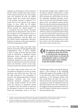embargo on oil and gas as well as precious metals, which remained the main sources of the national income for Iran. The Iranian state was switched off from the SWIFT system, which also caused great damage to the Iranian economy in general. As a result, Iran lost one quarter of its exports income at once, while the EU gained significant bargaining leverage in pushing Tehran towards the "grand bargain".7 It is considered that the serious economic decline that accompanied the state in 2013 had resulted in the presidential victory of Hassan Rouhani, whose main slogan was starting negotiations with the West over the Iranian nuclear programme. Moreover, Rouhani was famous as the main negotiator of the Paris Agreement of 2004.

At the end of this stage, both sides made mutual concessions, having signed the Joint Comprehensive Plan of Action (JCPOA) in 2015. In spite of the fact that the JCPOA could be considered a significant Iranian diplomacy victory (winning the right to uranium enrichment), the number of limitations imposed on Iran increased the break-out time (for Iran to become a nuclear state) and therefore served as the main security insurance for Europe and the world.

The fourth stage became known for two contradictory tendencies. On the one hand, sanctions were lifted from Iran. That was the right moment for the resumption of contacts, and signing agreements between European countries and Iran; many advanced European companies started to occupy Iranian markets. On the other hand, the decision of President Trump to withdraw from the JCPOA in 2018 put the Europeans in front of a hard choice: to break the transatlantic unity or to bury the deal that brought some stability to the EU-Iranian relations. Historically, it seems logical that for the cooperation with Iran is more attractive for the EU than it is for the US, especially regarding economic issues. And, of course, the role of Donald Trump is quite crucial – his impulsive actions and the desire to undo the previous administration's achievements play not the last role in the US decision. It was considered that the visit of President Macron to Washington, DC, in April 2018 was a bid to persuade President Trump to save the Iranian deal, $8$  which Europe was greatly concerned about. Unfortunately, this plan failed due to Trump's personal attitude towards Iran and it also showed one of the first cracks in the Euroatlantic unity, which later led to a more serious crisis.

**the decision of President Trump** *to withdraw from the JCPOA in 2018 put the Europeans in front of a hard choice: to break the transatlantic unity or to bury the deal that brought some stability to the EU-Iranian relations*

The fifth stage, which is currently developing, shows a clear tendency of the collapsing JCPOA with regard to the inability of the EU to save the deal in spite of the loud political statements of the European leaders that they would follow the deal. The reason is that the American sanctions imposed as the consequence of the US withdrawal from the deal had actually frozen the cooperation of the biggest European enterprises with Iran, as the US dollar is still the main currency of the international trade.

<sup>7</sup> S. Shine, A. Catran, *Europe-Iran Relations One Year after the Sanctions Were Lifted,* Institute for National Security Studies, 16 January 2017 [https://www.jstor.org/stable/resrep08353 access: 10 December 2019].

<sup>8</sup> *Can Macron's White House Visit Save the Iran Deal?,* "Local News", 22 April 2018 [https://www.thelocal.fr/20180422/can-macrons-white-house-visit-save-the-iran-deal].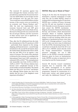The renewed US sanctions against Iran have damaged the Iranian economy. Iran's president has said that the US sanctions have cost Iran \$200 billion in lost foreign income and investment over the past two years. "Iran would have earned \$200 billion surplus income...if the country were not involved in an economic war." Hassan Rouhani said.<sup>9</sup> After the deal was implemented, Iran's economy bounced back and GDP grew 12.3%, according to the Central Bank of Iran. But much of that growth was connected with the oil and gas industry, and the recoveries of other sectors were not as significant as many Iranians had hoped.

Thus, after the US withdrawal from the deal, the reinstatement of the US sanctions in 2018 – particularly those imposed on the energy, shipping, and financial sectors – caused foreign investment to dry up and hit oil exports. Since the United States abandoned the deal in 2018, Iran has lost 90% of its oil exports, a key source of revenue. The result of the sanctions is obvious for the economy, as according to the International Fund, Iran's GDP contracted an estimated 4.8% in 2018.<sup>10</sup> The unemployment rate meanwhile rose from 14.5% in 2018 to 16.8% in 2019.<sup>11</sup> The US-Iran relations have become more complicated because of the recent strikes on Saudi oil facilities. The United States saw this as an "act of war" and blames Iran, although Tehran denies any role in the attacks that hit two of the kingdom's most important oil facilities.12

### **INSTEX: Way out or Waste of Time?**

Trying to fix the deal, the Europeans have developed a separate mechanism of trade with Iran, the so-called INSTEX, aimed at trading with Iran bypassing the US sanctions. INSTEX was a creation of France, Germany, and the UK and was launched in January 2019. Recently six more European countries have joined the INSTEX mechanism -Belgium, Denmark, Finland, the Netherlands, Norway, and Sweden, which demonstrates European efforts to facilitate legitimate trade between Europe and Iran. For the time being, it is still not working, while Iran uses diplomacy of graduated pressure since June 2019, as its "strategic patience" is over: Each month it takes one more step of withdrawal from the JCPOA, threatening Europe that it would have to break the deal if the EU is not able to fix it. INSTEX cannot directly resist the Trump administration's "maximum pressure" campaign, nor can it fully deliver on the JCPOA's economic promises. However, given its focus on humanitarian trade, INSTEX can play an important role in securing Iran and the Iranian people.<sup>13</sup>

Several UN Security Council resolutions required Iran to cooperate fully with the IAEA's investigation of its nuclear activities, suspend its uranium enrichment programme, suspend its construction of a heavy-water reactor and related projects, and ratify the Additional Protocol<sup>14</sup> to its

<sup>9</sup> *Iranian President Says U.S. Sanctions Have Cost Country \$200 Billion,* "Radio Free Europe / Radio Liberty", 31 December 2019 [https://www.rferl.org/a/iranian-president-says-us-sanctions-have-cost-country-200 billion/30354022.html access: 01 January 2020].

<sup>10</sup> International Monetary Fund [https://www.imf.org/en/Countries/IRN].

<sup>11</sup> *Six Charts that Show How Hard US Sanctions Have Hit Iran,* "BBC News", 9 December 2019 [https://www.bbc.com/news/world-middle-east-48119109 access: 01 January 2020].

<sup>12</sup> *Saudi Offers 'Proof' of Iran's Role in Oil Attack and Urges US Response,* "Guardian", 18 September 2019 [https://www.theguardian.com/world/2019/sep/18/saudi-oil-attack-rouhani-dismisses-us-claims-of-iran-roleas-slander].

<sup>13</sup> E. Batmanghelidj, S. Shah, *Protecting Europe-Iran Trade to Prevent War: A Provisional Assessment of INSTEX,* European Leadership Network, 27 June 2019 [https://www.europeanleadershipnetwork.org/wp-content/ uploads/2019/06/ELNBB-INSTEX-June-27-2019-ADVANCE-COPY.pdf].

<sup>14</sup> *Additional Protocol,* "Safeguards Legal Framework", IAEA [https://www.iaea.org/topics/additional-protocol].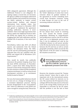IAEA safeguards agreement. Although the Additional Protocol is not obligatory for signing, it plays a crucial role, as it increases the agency's ability to investigate undeclared nuclear facilities and activities by increasing the IAEA's authority to inspect certain<br>nuclear-related facilities and demand nuclear-related facilities and information from member states. Iran signed such a protocol in December 2003 and agreed to implement the agreement pending ratification; however, it never ratified it. There were high expectations that Tehran ratifies the Additional Protocol after the JCPOA was signed, but as Iranians are dragging their feet with ratification until the ultimate lift of sanctions, it has never been done.

Nevertheless, before July 2019, all official reports and statements from the United Nations, the European Union, the IAEA, and the non-US participating governments indicated that Iran has complied with the JCPOA and related UN SC Resolution 2231 requirements.15

Now, month by month, Iran publically announces the gradual stepping away from the basic JCPOA restrictions. In November 2019, a report from IAEA Acting Director General Cornel Feruta declared that Tehran has also started to conduct JCPOA-prohibited uranium enrichment, as well as research and development activities, at its enrichment facility located at Natanz.<sup>16</sup>

For now, the Iranian public behaviour should be seen not as a change of strategy, but as a consistent diplomatic pressure. Having become disappointed in the "reconciliation line" where its adherence to the JCPOA was never enough for saving the deal, Tehran has gradually transferred from the "carrots" to the "sticks" diplomacy. It seems Iran warns everyone about its gradual violation of the agreement to receive something more crucial from European countries, trying to make Europe act even at the cost of worsening relations with the US.

### **Conclusions**

Summing up, let us say that the role of the EU has always been crucial to resolving the crisis around the Iranian nuclear programme. Retaining its comprehensive non-proliferation concern, the EU is still the "good cop" in its diplomatic pressure over Iran. It can be explained not only by the traditional reliance on soft power peculiar to the EU, but also by the close economic ties between the EU and Iran as well as certain geographic proximity, which account for the high interest of the EU states in stabilising the situation around Iran.

**Retaining its comprehensive** *non-proliferation concern, the EU is still the "good cop" in its diplomatic pressure over Iran*

However, the situation around the "Iranian nuclear dossier" shows that in spite of its important role in the international system, the EU cannot defend its interests on its own. The sanctions the US imposed on Iran, cutting it off from the main sources of income (such as the energy field), turned out to be impossible to overcome by the EU states. And the problem is not the lack of their

<sup>15</sup> *Verification and Monitoring in the Islamic Republic of Iran in Light of United Nations Security Council Resolution 2231 (2015),* GOV/INF/2019/9, IAEA, 8 July 2019 [https://www.iaea.org/sites/default/files/19/07/govinf2019-9.pdf].

<sup>16</sup> *Cornel Feruta, Acting Director General's Introductory Statement to the Board of Governors,* IAEA, 21 November 2019 [https://www.iaea.org/newscenter/statements/introductory-statement-to-the-board-of-governors-21 november-2019].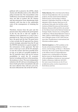political will to preserve the JCPOA, which clearly and officially exists as the official EU policy towards Iran. The real problem is the inefficiency of economic mechanisms, which were not able to protect the EU citizens and big enterprises from abandoning trade relations with Iran due to the unbearable costs of the consequences of retaining the deal.

Therefore, lessons from the past and the present show that without the participation of the US, the EU is still not capable to influence Iran's behaviour in a way it has a potential to do. There are two kinds of news here: the good and the bad. The good news is that recently the EU approach has shown certain strategic autonomy from the US and the INSTEX mechanism is a good example of the seriousness of this approach. The bad news is that up to now all the EU attempts to save the nuclear deal have possibly been in vain, as in spite of a possible loophole in the US sanctions there will not be serious possibilities to avoid the US economic barrier in trading with Iran. In the meantime, the tendency is clear: The more independent initiatives the EU will use in breaking up the fences built up by their transatlantic ally and the more effective they will turn out to be, the more efficient the role of the EU will be.

*Polina Sinovets, PhD, is the Head of the Odessa Centre for Nonproliferation. She is an associate professor, Faculty of International Relations, Political Science, and Sociology, at Odessa National I.I. Mechnikov University. In 2004, she defended a PhD in Nuclear Deterrence in US and Russian Policy after the Cold War at Kyiv Institute of Global Economy and International Relations. Between 2003 and 2012, she worked for the Odessa branch of the National Institute of Strategic Studies. Sinovets was a visiting fellow at Monterey J. Martin Nonproliferation Center in 2006, a fellow at NATO Defense College in 2015, and a Fulbright scholar in 2017-2018. She has more than 70 publications in international and Ukrainian academic papers.*

*Valeriia Gergiieva is a PhD candidate at the Faculty of International Relations, Political Science, and Sociology, at Odessa I. I. Mechnikov University. She is also a Junior Research Fellow at the Odessa Center for Nonproliferation. Gergiieva was a visiting fellow at the James Martin Center for Nonproliferation Studies (CNS) of Middlebury Institute for International Studies in Monterey, California, Fall 2019. Her main research interests are the US nonproliferation policy, nuclear programmes of North Korea and Iran.*